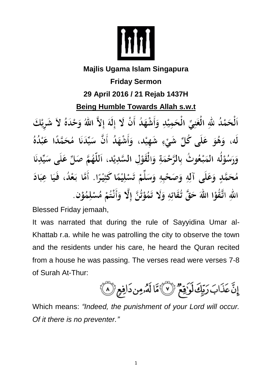

## **Majlis Ugama Islam Singapura**

**Friday Sermon 29 April 2016 / 21 Rejab 1437H Being Humble Towards Allah s.w.t** 

ٱلْحَمْدُ للهِ الْغَنِيِّ الْحَمِيْدِ وَأَشْهَدُ أَنْ لَا إِلَهَ إِلاَّ اللهُ وَحْدَهُ لاَ شَرِيْكَ لَه، وَهُوَ عَلَى كُلِّ شَيْءٍ شَهِيْد، وَأَشْهَدُ أَنَّ سَيِّدَنَا مُحَمَّدًا عَبْدُهُ وَرَسُوْلُه المَبْعُوتُ بِالرَّحْمَةِ وَالْقَوْلِ السَّدِيْدِ، اَللَّهُمَّ صَلِّ عَلَى سَيِّدِنَا مُحَمَّدٍ وَعَلَى آلِهِ وَصَحْبِهِ وَسَلِّمْ تَسْلِيْمًا كَثِيْرًا. أَمَّا بَعْدُ، فَيَا عِبَادَ اللهِ اتَّقُوْا اللهَ حَقَّ تُقَاتِهِ وَلَا تَمُوْتُنَّ إِلَّا وَأَنْتُمْ مُسْلِمُوْن.

Blessed Friday jemaah,

It was narrated that during the rule of Sayyidina Umar al-Khattab r.a. while he was patrolling the city to observe the town and the residents under his care, he heard the Quran recited from a house he was passing. The verses read were verses 7-8 of Surah At-Thur:

إِنَّ عَذَابَ رَبِّكَ لَوَٰقِعٌ ۚ لَا لَهُ أَلَٰهُ مِن دَافِعِ ۚ لَا ﴾

Which means: *"Indeed, the punishment of your Lord will occur. Of it there is no preventer."*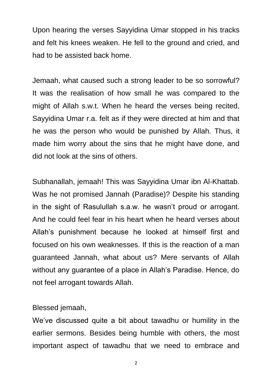Upon hearing the verses Sayyidina Umar stopped in his tracks and felt his knees weaken. He fell to the ground and cried, and had to be assisted back home.

Jemaah, what caused such a strong leader to be so sorrowful? It was the realisation of how small he was compared to the might of Allah s.w.t. When he heard the verses being recited, Sayyidina Umar r.a. felt as if they were directed at him and that he was the person who would be punished by Allah. Thus, it made him worry about the sins that he might have done, and did not look at the sins of others.

Subhanallah, jemaah! This was Sayyidina Umar ibn Al-Khattab. Was he not promised Jannah (Paradise)? Despite his standing in the sight of Rasulullah s.a.w. he wasn't proud or arrogant. And he could feel fear in his heart when he heard verses about Allah's punishment because he looked at himself first and focused on his own weaknesses. If this is the reaction of a man guaranteed Jannah, what about us? Mere servants of Allah without any guarantee of a place in Allah's Paradise. Hence, do not feel arrogant towards Allah.

## Blessed jemaah,

We've discussed quite a bit about tawadhu or humility in the earlier sermons. Besides being humble with others, the most important aspect of tawadhu that we need to embrace and

2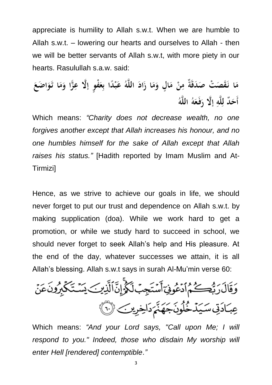appreciate is humility to Allah s.w.t. When we are humble to Allah s.w.t. – lowering our hearts and ourselves to Allah - then we will be better servants of Allah s.w.t, with more piety in our hearts. Rasulullah s.a.w. said:

مَا نَقَصَتْ صَدَقَةٌ مِنْ مَالٍ وَمَا زَادَ اللَّهُ عَبْدًا بِعَفْوٍ إِلَّا عِزًّا وَمَا تَوَاضَعَ أَحَدٌ للَّه إِلَّا رَفَعَهُ اللَّهُ

Which means: *"Charity does not decrease wealth, no one forgives another except that Allah increases his honour, and no one humbles himself for the sake of Allah except that Allah raises his status."* [Hadith reported by Imam Muslim and At-Tirmizi]

Hence, as we strive to achieve our goals in life, we should never forget to put our trust and dependence on Allah s.w.t. by making supplication (doa). While we work hard to get a promotion, or while we study hard to succeed in school, we should never forget to seek Allah's help and His pleasure. At the end of the day, whatever successes we attain, it is all Allah's blessing. Allah s.w.t says in surah Al-Mu'min verse 60:

Which means: *"And your Lord says, "Call upon Me; I will respond to you." Indeed, those who disdain My worship will enter Hell [rendered] contemptible*.*"*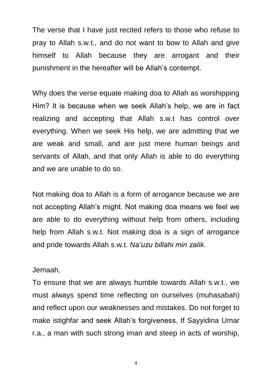The verse that I have just recited refers to those who refuse to pray to Allah s.w.t., and do not want to bow to Allah and give himself to Allah because they are arrogant and their punishment in the hereafter will be Allah's contempt.

Why does the verse equate making doa to Allah as worshipping Him? It is because when we seek Allah's help, we are in fact realizing and accepting that Allah s.w.t has control over everything. When we seek His help, we are admitting that we are weak and small, and are just mere human beings and servants of Allah, and that only Allah is able to do everything and we are unable to do so.

Not making doa to Allah is a form of arrogance because we are not accepting Allah's might. Not making doa means we feel we are able to do everything without help from others, including help from Allah s.w.t. Not making doa is a sign of arrogance and pride towards Allah s.w.t. *Na'uzu billahi min zalik*.

## Jemaah,

To ensure that we are always humble towards Allah s.w.t., we must always spend time reflecting on ourselves (muhasabah) and reflect upon our weaknesses and mistakes. Do not forget to make istighfar and seek Allah's forgiveness. If Sayyidina Umar r.a., a man with such strong iman and steep in acts of worship,

4